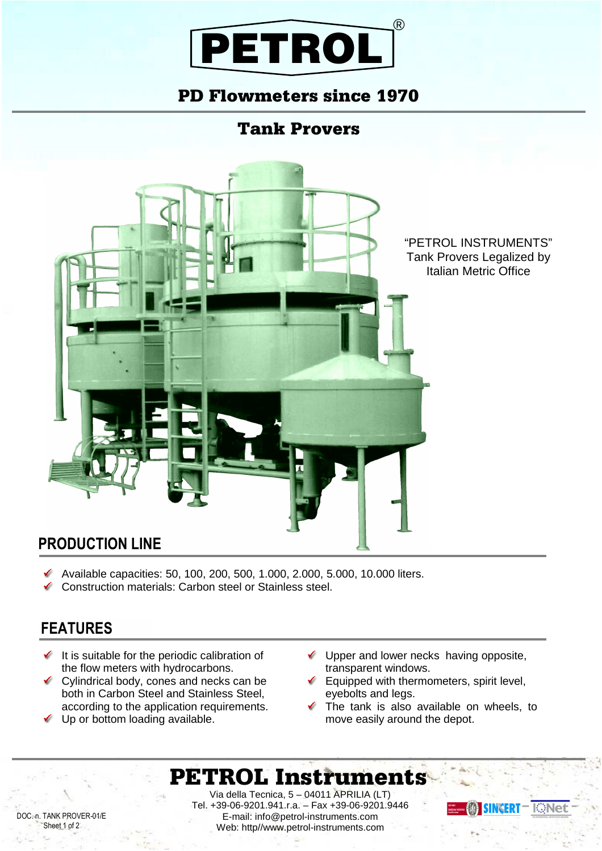

#### PD Flowmeters since 1970

### Tank Provers



#### **PRODUCTION LINE**

- ✔ Available capacities: 50, 100, 200, 500, 1.000, 2.000, 5.000, 10.000 liters.
- Construction materials: Carbon steel or Stainless steel.

#### **FEATURES**

- $\checkmark$  It is suitable for the periodic calibration of the flow meters with hydrocarbons.
- Cylindrical body, cones and necks can be both in Carbon Steel and Stainless Steel, according to the application requirements.
- Up or bottom loading available.
- $\checkmark$  Upper and lower necks having opposite, transparent windows.
- $\checkmark$  Equipped with thermometers, spirit level, eyebolts and legs.
- The tank is also available on wheels, to move easily around the depot.

# PETROL Instruments

Via della Tecnica, 5 – 04011 APRILIA (LT) Tel. +39-06-9201.941.r.a. – Fax +39-06-9201.9446 E-mail: info@petrol-instruments.com Web: http//www.petrol-instruments.com



DOC. n. TANK PROVER-01/E Sheet 1 of 2